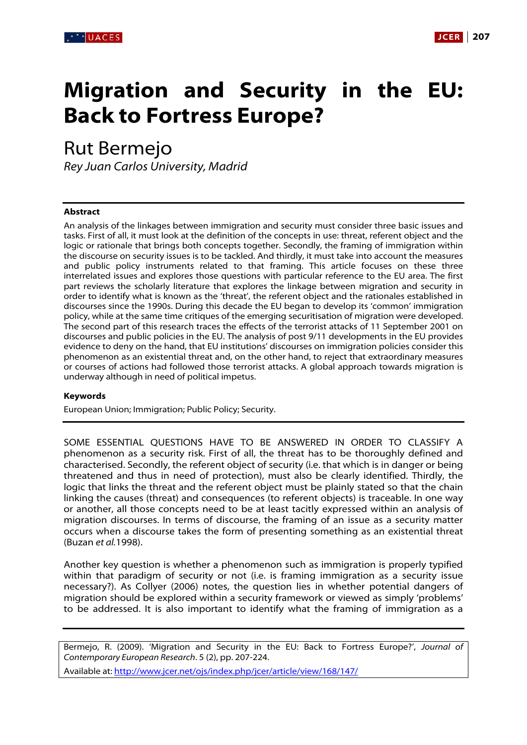

# **Migration and Security in the EU: Back to Fortress Europe?**

Rut Bermejo

Rey Juan Carlos University, Madrid

#### **Abstract**

An analysis of the linkages between immigration and security must consider three basic issues and tasks. First of all, it must look at the definition of the concepts in use: threat, referent object and the logic or rationale that brings both concepts together. Secondly, the framing of immigration within the discourse on security issues is to be tackled. And thirdly, it must take into account the measures and public policy instruments related to that framing. This article focuses on these three interrelated issues and explores those questions with particular reference to the EU area. The first part reviews the scholarly literature that explores the linkage between migration and security in order to identify what is known as the 'threat', the referent object and the rationales established in discourses since the 1990s. During this decade the EU began to develop its 'common' immigration policy, while at the same time critiques of the emerging securitisation of migration were developed. The second part of this research traces the effects of the terrorist attacks of 11 September 2001 on discourses and public policies in the EU. The analysis of post 9/11 developments in the EU provides evidence to deny on the hand, that EU institutions' discourses on immigration policies consider this phenomenon as an existential threat and, on the other hand, to reject that extraordinary measures or courses of actions had followed those terrorist attacks. A global approach towards migration is underway although in need of political impetus.

#### **Keywords**

European Union; Immigration; Public Policy; Security.

SOME ESSENTIAL QUESTIONS HAVE TO BE ANSWERED IN ORDER TO CLASSIFY A phenomenon as a security risk. First of all, the threat has to be thoroughly defined and characterised. Secondly, the referent object of security (i.e. that which is in danger or being threatened and thus in need of protection), must also be clearly identified. Thirdly, the logic that links the threat and the referent object must be plainly stated so that the chain linking the causes (threat) and consequences (to referent objects) is traceable. In one way or another, all those concepts need to be at least tacitly expressed within an analysis of migration discourses. In terms of discourse, the framing of an issue as a security matter occurs when a discourse takes the form of presenting something as an existential threat (Buzan et al.1998).

Another key question is whether a phenomenon such as immigration is properly typified within that paradigm of security or not (i.e. is framing immigration as a security issue necessary?). As Collyer (2006) notes, the question lies in whether potential dangers of migration should be explored within a security framework or viewed as simply 'problems' to be addressed. It is also important to identify what the framing of immigration as a

Bermejo, R. (2009). 'Migration and Security in the EU: Back to Fortress Europe?', Journal of Contemporary European Research. 5 (2), pp. 207-224.

Available at: http://www.jcer.net/ojs/index.php/jcer/article/view/168/147/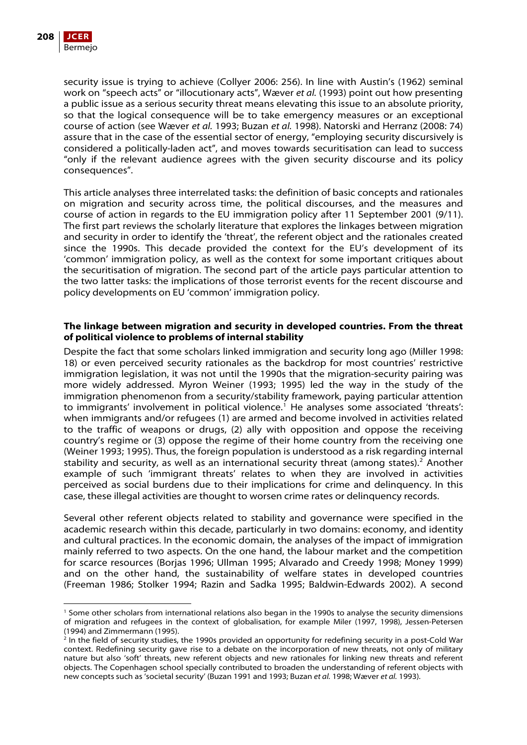

security issue is trying to achieve (Collyer 2006: 256). In line with Austin's (1962) seminal work on "speech acts" or "illocutionary acts", Wæver et al. (1993) point out how presenting a public issue as a serious security threat means elevating this issue to an absolute priority, so that the logical consequence will be to take emergency measures or an exceptional course of action (see Wæver et al. 1993; Buzan et al. 1998). Natorski and Herranz (2008: 74) assure that in the case of the essential sector of energy, "employing security discursively is considered a politically-laden act", and moves towards securitisation can lead to success "only if the relevant audience agrees with the given security discourse and its policy consequences".

This article analyses three interrelated tasks: the definition of basic concepts and rationales on migration and security across time, the political discourses, and the measures and course of action in regards to the EU immigration policy after 11 September 2001 (9/11). The first part reviews the scholarly literature that explores the linkages between migration and security in order to identify the 'threat', the referent object and the rationales created since the 1990s. This decade provided the context for the EU's development of its 'common' immigration policy, as well as the context for some important critiques about the securitisation of migration. The second part of the article pays particular attention to the two latter tasks: the implications of those terrorist events for the recent discourse and policy developments on EU 'common' immigration policy.

## **The linkage between migration and security in developed countries. From the threat of political violence to problems of internal stability**

Despite the fact that some scholars linked immigration and security long ago (Miller 1998: 18) or even perceived security rationales as the backdrop for most countries' restrictive immigration legislation, it was not until the 1990s that the migration-security pairing was more widely addressed. Myron Weiner (1993; 1995) led the way in the study of the immigration phenomenon from a security/stability framework, paying particular attention to immigrants' involvement in political violence.<sup>[1](#page-1-0)</sup> He analyses some associated 'threats': when immigrants and/or refugees (1) are armed and become involved in activities related to the traffic of weapons or drugs, (2) ally with opposition and oppose the receiving country's regime or (3) oppose the regime of their home country from the receiving one (Weiner 1993; 1995). Thus, the foreign population is understood as a risk regarding internal stability and security, as well as an international security threat (among states). $2$  Another example of such 'immigrant threats' relates to when they are involved in activities perceived as social burdens due to their implications for crime and delinquency. In this case, these illegal activities are thought to worsen crime rates or delinquency records.

Several other referent objects related to stability and governance were specified in the academic research within this decade, particularly in two domains: economy, and identity and cultural practices. In the economic domain, the analyses of the impact of immigration mainly referred to two aspects. On the one hand, the labour market and the competition for scarce resources (Borjas 1996; Ullman 1995; Alvarado and Creedy 1998; Money 1999) and on the other hand, the sustainability of welfare states in developed countries (Freeman 1986; Stolker 1994; Razin and Sadka 1995; Baldwin-Edwards 2002). A second

<span id="page-1-0"></span><sup>1</sup> Some other scholars from international relations also began in the 1990s to analyse the security dimensions of migration and refugees in the context of globalisation, for example Miler (1997, 1998), Jessen-Petersen (1994) and Zimmermann (1995).

<span id="page-1-1"></span><sup>2</sup> In the field of security studies, the 1990s provided an opportunity for redefining security in a post-Cold War context. Redefining security gave rise to a debate on the incorporation of new threats, not only of military nature but also 'soft' threats, new referent objects and new rationales for linking new threats and referent objects. The Copenhagen school specially contributed to broaden the understanding of referent objects with new concepts such as 'societal security' (Buzan 1991 and 1993; Buzan et al. 1998; Wæver et al. 1993).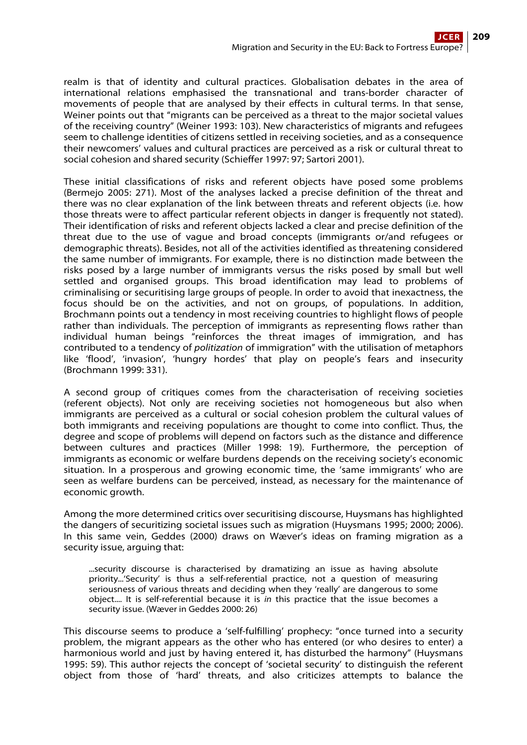realm is that of identity and cultural practices. Globalisation debates in the area of international relations emphasised the transnational and trans-border character of movements of people that are analysed by their effects in cultural terms. In that sense, Weiner points out that "migrants can be perceived as a threat to the major societal values of the receiving country" (Weiner 1993: 103). New characteristics of migrants and refugees seem to challenge identities of citizens settled in receiving societies, and as a consequence their newcomers' values and cultural practices are perceived as a risk or cultural threat to social cohesion and shared security (Schieffer 1997: 97; Sartori 2001).

These initial classifications of risks and referent objects have posed some problems (Bermejo 2005: 271). Most of the analyses lacked a precise definition of the threat and there was no clear explanation of the link between threats and referent objects (i.e. how those threats were to affect particular referent objects in danger is frequently not stated). Their identification of risks and referent objects lacked a clear and precise definition of the threat due to the use of vague and broad concepts (immigrants or/and refugees or demographic threats). Besides, not all of the activities identified as threatening considered the same number of immigrants. For example, there is no distinction made between the risks posed by a large number of immigrants versus the risks posed by small but well settled and organised groups. This broad identification may lead to problems of criminalising or securitising large groups of people. In order to avoid that inexactness, the focus should be on the activities, and not on groups, of populations. In addition, Brochmann points out a tendency in most receiving countries to highlight flows of people rather than individuals. The perception of immigrants as representing flows rather than individual human beings "reinforces the threat images of immigration, and has contributed to a tendency of politization of immigration" with the utilisation of metaphors like 'flood', 'invasion', 'hungry hordes' that play on people's fears and insecurity (Brochmann 1999: 331).

A second group of critiques comes from the characterisation of receiving societies (referent objects). Not only are receiving societies not homogeneous but also when immigrants are perceived as a cultural or social cohesion problem the cultural values of both immigrants and receiving populations are thought to come into conflict. Thus, the degree and scope of problems will depend on factors such as the distance and difference between cultures and practices (Miller 1998: 19). Furthermore, the perception of immigrants as economic or welfare burdens depends on the receiving society's economic situation. In a prosperous and growing economic time, the 'same immigrants' who are seen as welfare burdens can be perceived, instead, as necessary for the maintenance of economic growth.

Among the more determined critics over securitising discourse, Huysmans has highlighted the dangers of securitizing societal issues such as migration (Huysmans 1995; 2000; 2006). In this same vein, Geddes (2000) draws on Wæver's ideas on framing migration as a security issue, arguing that:

...security discourse is characterised by dramatizing an issue as having absolute priority...'Security' is thus a self-referential practice, not a question of measuring seriousness of various threats and deciding when they 'really' are dangerous to some object.... It is self-referential because it is in this practice that the issue becomes a security issue. (Wæver in Geddes 2000: 26)

This discourse seems to produce a 'self-fulfilling' prophecy: "once turned into a security problem, the migrant appears as the other who has entered (or who desires to enter) a harmonious world and just by having entered it, has disturbed the harmony" (Huysmans 1995: 59). This author rejects the concept of 'societal security' to distinguish the referent object from those of 'hard' threats, and also criticizes attempts to balance the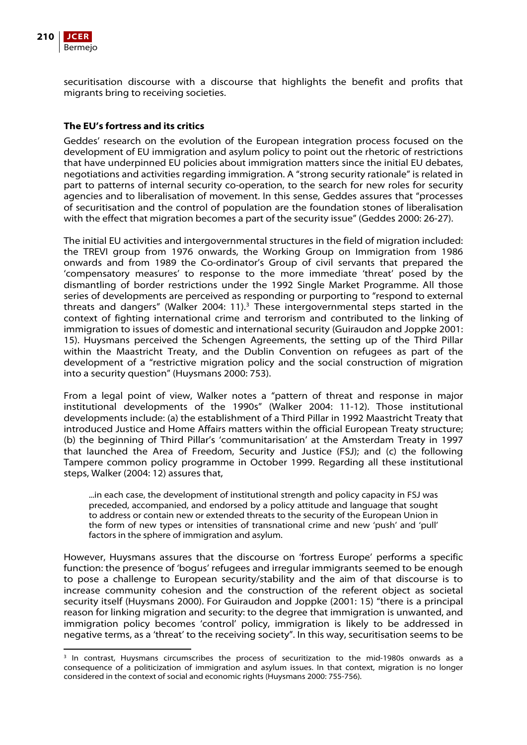

securitisation discourse with a discourse that highlights the benefit and profits that migrants bring to receiving societies.

# **The EU's fortress and its critics**

Geddes' research on the evolution of the European integration process focused on the development of EU immigration and asylum policy to point out the rhetoric of restrictions that have underpinned EU policies about immigration matters since the initial EU debates, negotiations and activities regarding immigration. A "strong security rationale" is related in part to patterns of internal security co-operation, to the search for new roles for security agencies and to liberalisation of movement. In this sense, Geddes assures that "processes of securitisation and the control of population are the foundation stones of liberalisation with the effect that migration becomes a part of the security issue" (Geddes 2000: 26-27).

The initial EU activities and intergovernmental structures in the field of migration included: the TREVI group from 1976 onwards, the Working Group on Immigration from 1986 onwards and from 1989 the Co-ordinator's Group of civil servants that prepared the 'compensatory measures' to response to the more immediate 'threat' posed by the dismantling of border restrictions under the 1992 Single Market Programme. All those series of developments are perceived as responding or purporting to "respond to external threats and dangers" (Walker 2004: 11). $3$  These intergovernmental steps started in the context of fighting international crime and terrorism and contributed to the linking of immigration to issues of domestic and international security (Guiraudon and Joppke 2001: 15). Huysmans perceived the Schengen Agreements, the setting up of the Third Pillar within the Maastricht Treaty, and the Dublin Convention on refugees as part of the development of a "restrictive migration policy and the social construction of migration into a security question" (Huysmans 2000: 753).

From a legal point of view, Walker notes a "pattern of threat and response in major institutional developments of the 1990s" (Walker 2004: 11-12). Those institutional developments include: (a) the establishment of a Third Pillar in 1992 Maastricht Treaty that introduced Justice and Home Affairs matters within the official European Treaty structure; (b) the beginning of Third Pillar's 'communitarisation' at the Amsterdam Treaty in 1997 that launched the Area of Freedom, Security and Justice (FSJ); and (c) the following Tampere common policy programme in October 1999. Regarding all these institutional steps, Walker (2004: 12) assures that,

...in each case, the development of institutional strength and policy capacity in FSJ was preceded, accompanied, and endorsed by a policy attitude and language that sought to address or contain new or extended threats to the security of the European Union in the form of new types or intensities of transnational crime and new 'push' and 'pull' factors in the sphere of immigration and asylum.

However, Huysmans assures that the discourse on 'fortress Europe' performs a specific function: the presence of 'bogus' refugees and irregular immigrants seemed to be enough to pose a challenge to European security/stability and the aim of that discourse is to increase community cohesion and the construction of the referent object as societal security itself (Huysmans 2000). For Guiraudon and Joppke (2001: 15) "there is a principal reason for linking migration and security: to the degree that immigration is unwanted, and immigration policy becomes 'control' policy, immigration is likely to be addressed in negative terms, as a 'threat' to the receiving society". In this way, securitisation seems to be

<span id="page-3-0"></span> <sup>3</sup> In contrast, Huysmans circumscribes the process of securitization to the mid-1980s onwards as a consequence of a politicization of immigration and asylum issues. In that context, migration is no longer considered in the context of social and economic rights (Huysmans 2000: 755-756).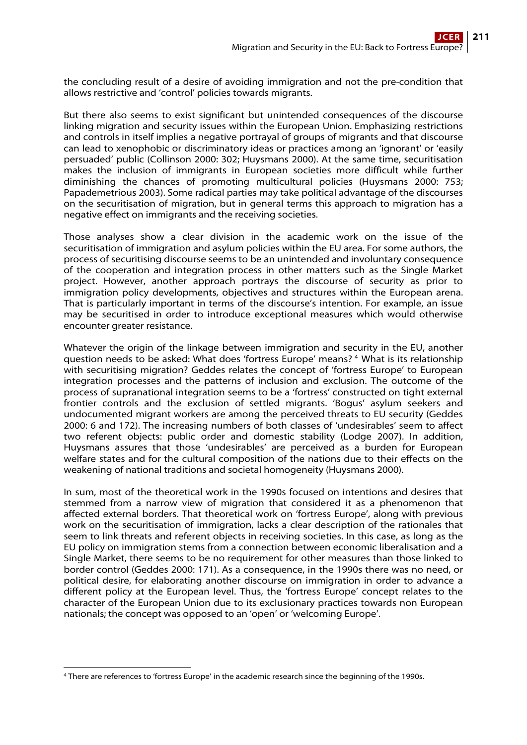the concluding result of a desire of avoiding immigration and not the pre-condition that allows restrictive and 'control' policies towards migrants.

But there also seems to exist significant but unintended consequences of the discourse linking migration and security issues within the European Union. Emphasizing restrictions and controls in itself implies a negative portrayal of groups of migrants and that discourse can lead to xenophobic or discriminatory ideas or practices among an 'ignorant' or 'easily persuaded' public (Collinson 2000: 302; Huysmans 2000). At the same time, securitisation makes the inclusion of immigrants in European societies more difficult while further diminishing the chances of promoting multicultural policies (Huysmans 2000: 753; Papademetrious 2003). Some radical parties may take political advantage of the discourses on the securitisation of migration, but in general terms this approach to migration has a negative effect on immigrants and the receiving societies.

Those analyses show a clear division in the academic work on the issue of the securitisation of immigration and asylum policies within the EU area. For some authors, the process of securitising discourse seems to be an unintended and involuntary consequence of the cooperation and integration process in other matters such as the Single Market project. However, another approach portrays the discourse of security as prior to immigration policy developments, objectives and structures within the European arena. That is particularly important in terms of the discourse's intention. For example, an issue may be securitised in order to introduce exceptional measures which would otherwise encounter greater resistance.

Whatever the origin of the linkage between immigration and security in the EU, another question needs to be asked: What does 'fortress Europe' means? [4](#page-4-0) What is its relationship with securitising migration? Geddes relates the concept of 'fortress Europe' to European integration processes and the patterns of inclusion and exclusion. The outcome of the process of supranational integration seems to be a 'fortress' constructed on tight external frontier controls and the exclusion of settled migrants. 'Bogus' asylum seekers and undocumented migrant workers are among the perceived threats to EU security (Geddes 2000: 6 and 172). The increasing numbers of both classes of 'undesirables' seem to affect two referent objects: public order and domestic stability (Lodge 2007). In addition, Huysmans assures that those 'undesirables' are perceived as a burden for European welfare states and for the cultural composition of the nations due to their effects on the weakening of national traditions and societal homogeneity (Huysmans 2000).

In sum, most of the theoretical work in the 1990s focused on intentions and desires that stemmed from a narrow view of migration that considered it as a phenomenon that affected external borders. That theoretical work on 'fortress Europe', along with previous work on the securitisation of immigration, lacks a clear description of the rationales that seem to link threats and referent objects in receiving societies. In this case, as long as the EU policy on immigration stems from a connection between economic liberalisation and a Single Market, there seems to be no requirement for other measures than those linked to border control (Geddes 2000: 171). As a consequence, in the 1990s there was no need, or political desire, for elaborating another discourse on immigration in order to advance a different policy at the European level. Thus, the 'fortress Europe' concept relates to the character of the European Union due to its exclusionary practices towards non European nationals; the concept was opposed to an 'open' or 'welcoming Europe'.

<span id="page-4-0"></span> 4 There are references to 'fortress Europe' in the academic research since the beginning of the 1990s.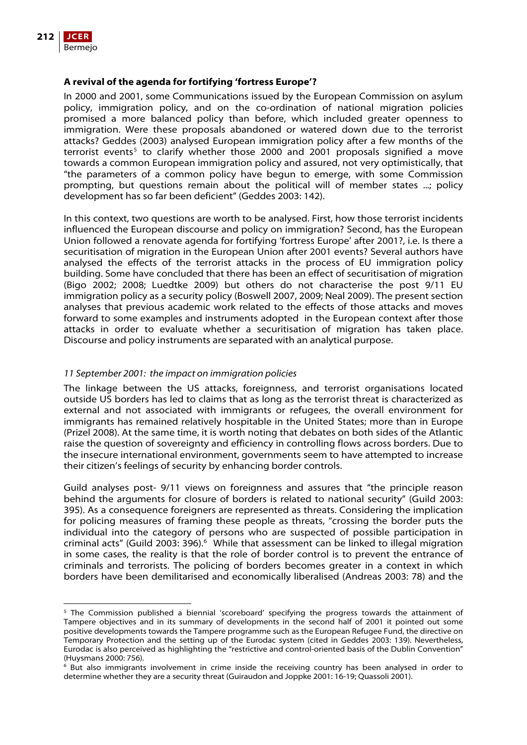

## **A revival of the agenda for fortifying 'fortress Europe'?**

In 2000 and 2001, some Communications issued by the European Commission on asylum policy, immigration policy, and on the co-ordination of national migration policies promised a more balanced policy than before, which included greater openness to immigration. Were these proposals abandoned or watered down due to the terrorist attacks? Geddes (2003) analysed European immigration policy after a few months of the terrorist events<sup>[5](#page-5-0)</sup> to clarify whether those 2000 and 2001 proposals signified a move towards a common European immigration policy and assured, not very optimistically, that "the parameters of a common policy have begun to emerge, with some Commission prompting, but questions remain about the political will of member states ...; policy development has so far been deficient" (Geddes 2003: 142).

In this context, two questions are worth to be analysed. First, how those terrorist incidents influenced the European discourse and policy on immigration? Second, has the European Union followed a renovate agenda for fortifying 'fortress Europe' after 2001?, i.e. Is there a securitisation of migration in the European Union after 2001 events? Several authors have analysed the effects of the terrorist attacks in the process of EU immigration policy building. Some have concluded that there has been an effect of securitisation of migration (Bigo 2002; 2008; Luedtke 2009) but others do not characterise the post 9/11 EU immigration policy as a security policy (Boswell 2007, 2009; Neal 2009). The present section analyses that previous academic work related to the effects of those attacks and moves forward to some examples and instruments adopted in the European context after those attacks in order to evaluate whether a securitisation of migration has taken place. Discourse and policy instruments are separated with an analytical purpose.

### 11 September 2001: the impact on immigration policies

The linkage between the US attacks, foreignness, and terrorist organisations located outside US borders has led to claims that as long as the terrorist threat is characterized as external and not associated with immigrants or refugees, the overall environment for immigrants has remained relatively hospitable in the United States; more than in Europe (Prizel 2008). At the same time, it is worth noting that debates on both sides of the Atlantic raise the question of sovereignty and efficiency in controlling flows across borders. Due to the insecure international environment, governments seem to have attempted to increase their citizen's feelings of security by enhancing border controls.

Guild analyses post- 9/11 views on foreignness and assures that "the principle reason behind the arguments for closure of borders is related to national security" (Guild 2003: 395). As a consequence foreigners are represented as threats. Considering the implication for policing measures of framing these people as threats, "crossing the border puts the individual into the category of persons who are suspected of possible participation in criminal acts" (Guild 2003: 39[6](#page-5-1)). $^6$  While that assessment can be linked to illegal migration in some cases, the reality is that the role of border control is to prevent the entrance of criminals and terrorists. The policing of borders becomes greater in a context in which borders have been demilitarised and economically liberalised (Andreas 2003: 78) and the

<span id="page-5-0"></span> <sup>5</sup> The Commission published a biennial 'scoreboard' specifying the progress towards the attainment of Tampere objectives and in its summary of developments in the second half of 2001 it pointed out some positive developments towards the Tampere programme such as the European Refugee Fund, the directive on Temporary Protection and the setting up of the Eurodac system (cited in Geddes 2003: 139). Nevertheless, Eurodac is also perceived as highlighting the "restrictive and control-oriented basis of the Dublin Convention" (Huysmans 2000: 756).

<span id="page-5-1"></span><sup>6</sup> But also immigrants involvement in crime inside the receiving country has been analysed in order to determine whether they are a security threat (Guiraudon and Joppke 2001: 16-19; Quassoli 2001).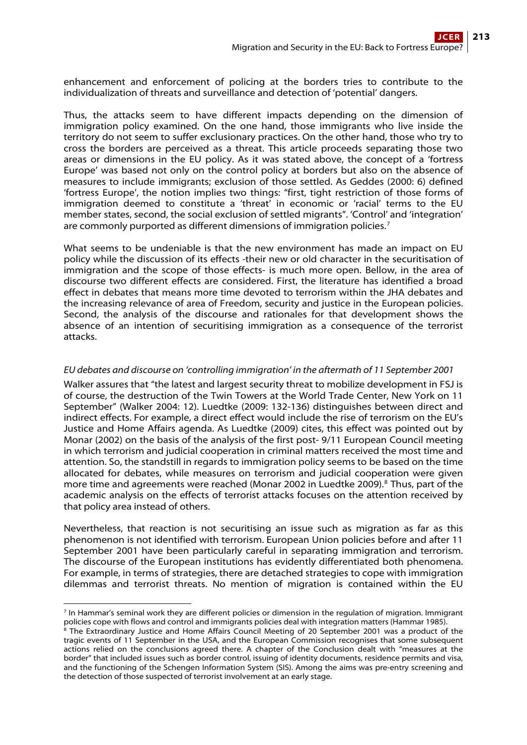enhancement and enforcement of policing at the borders tries to contribute to the individualization of threats and surveillance and detection of 'potential' dangers.

Thus, the attacks seem to have different impacts depending on the dimension of immigration policy examined. On the one hand, those immigrants who live inside the territory do not seem to suffer exclusionary practices. On the other hand, those who try to cross the borders are perceived as a threat. This article proceeds separating those two areas or dimensions in the EU policy. As it was stated above, the concept of a 'fortress Europe' was based not only on the control policy at borders but also on the absence of measures to include immigrants; exclusion of those settled. As Geddes (2000: 6) defined 'fortress Europe', the notion implies two things: "first, tight restriction of those forms of immigration deemed to constitute a 'threat' in economic or 'racial' terms to the EU member states, second, the social exclusion of settled migrants". 'Control' and 'integration' are commonly purported as different dimensions of immigration policies.<sup>[7](#page-6-0)</sup>

What seems to be undeniable is that the new environment has made an impact on EU policy while the discussion of its effects -their new or old character in the securitisation of immigration and the scope of those effects- is much more open. Bellow, in the area of discourse two different effects are considered. First, the literature has identified a broad effect in debates that means more time devoted to terrorism within the JHA debates and the increasing relevance of area of Freedom, security and justice in the European policies. Second, the analysis of the discourse and rationales for that development shows the absence of an intention of securitising immigration as a consequence of the terrorist attacks.

# EU debates and discourse on 'controlling immigration' in the aftermath of 11 September 2001

Walker assures that "the latest and largest security threat to mobilize development in FSJ is of course, the destruction of the Twin Towers at the World Trade Center, New York on 11 September" (Walker 2004: 12). Luedtke (2009: 132-136) distinguishes between direct and indirect effects. For example, a direct effect would include the rise of terrorism on the EU's Justice and Home Affairs agenda. As Luedtke (2009) cites, this effect was pointed out by Monar (2002) on the basis of the analysis of the first post- 9/11 European Council meeting in which terrorism and judicial cooperation in criminal matters received the most time and attention. So, the standstill in regards to immigration policy seems to be based on the time allocated for debates, while measures on terrorism and judicial cooperation were given more time and agreements were reached (Monar 2002 in Luedtke 2009).<sup>[8](#page-6-1)</sup> Thus, part of the academic analysis on the effects of terrorist attacks focuses on the attention received by that policy area instead of others.

Nevertheless, that reaction is not securitising an issue such as migration as far as this phenomenon is not identified with terrorism. European Union policies before and after 11 September 2001 have been particularly careful in separating immigration and terrorism. The discourse of the European institutions has evidently differentiated both phenomena. For example, in terms of strategies, there are detached strategies to cope with immigration dilemmas and terrorist threats. No mention of migration is contained within the EU

<span id="page-6-0"></span> 7 In Hammar's seminal work they are different policies or dimension in the regulation of migration. Immigrant policies cope with flows and control and immigrants policies deal with integration matters (Hammar 1985).<br><sup>8</sup> The Extraordinary Justice and Home Affairs Council Meeting of 20 September 2001 was a product of the

<span id="page-6-1"></span>tragic events of 11 September in the USA, and the European Commission recognises that some subsequent actions relied on the conclusions agreed there. A chapter of the Conclusion dealt with "measures at the border" that included issues such as border control, issuing of identity documents, residence permits and visa, and the functioning of the Schengen Information System (SIS). Among the aims was pre-entry screening and the detection of those suspected of terrorist involvement at an early stage.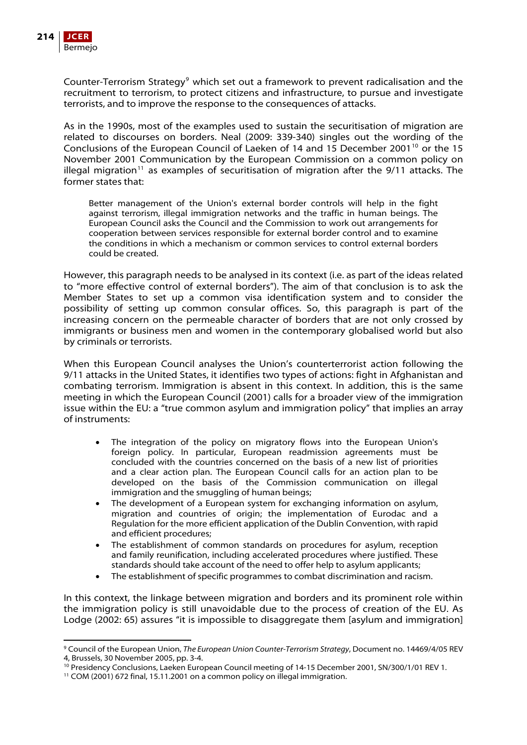

Counter-Terrorism Strategy<sup>[9](#page-7-0)</sup> which set out a framework to prevent radicalisation and the recruitment to terrorism, to protect citizens and infrastructure, to pursue and investigate terrorists, and to improve the response to the consequences of attacks.

As in the 1990s, most of the examples used to sustain the securitisation of migration are related to discourses on borders. Neal (2009: 339-340) singles out the wording of the Conclusions of the European Council of Laeken of 14 and 15 December 2001<sup>[10](#page-7-1)</sup> or the 15 November 2001 Communication by the European Commission on a common policy on illegal migration<sup>[11](#page-7-2)</sup> as examples of securitisation of migration after the  $9/11$  attacks. The former states that:

Better management of the Union's external border controls will help in the fight against terrorism, illegal immigration networks and the traffic in human beings. The European Council asks the Council and the Commission to work out arrangements for cooperation between services responsible for external border control and to examine the conditions in which a mechanism or common services to control external borders could be created.

However, this paragraph needs to be analysed in its context (i.e. as part of the ideas related to "more effective control of external borders"). The aim of that conclusion is to ask the Member States to set up a common visa identification system and to consider the possibility of setting up common consular offices. So, this paragraph is part of the increasing concern on the permeable character of borders that are not only crossed by immigrants or business men and women in the contemporary globalised world but also by criminals or terrorists.

When this European Council analyses the Union's counterterrorist action following the 9/11 attacks in the United States, it identifies two types of actions: fight in Afghanistan and combating terrorism. Immigration is absent in this context. In addition, this is the same meeting in which the European Council (2001) calls for a broader view of the immigration issue within the EU: a "true common asylum and immigration policy" that implies an array of instruments:

- The integration of the policy on migratory flows into the European Union's foreign policy. In particular, European readmission agreements must be concluded with the countries concerned on the basis of a new list of priorities and a clear action plan. The European Council calls for an action plan to be developed on the basis of the Commission communication on illegal immigration and the smuggling of human beings;
- The development of a European system for exchanging information on asylum, migration and countries of origin; the implementation of Eurodac and a Regulation for the more efficient application of the Dublin Convention, with rapid and efficient procedures;
- The establishment of common standards on procedures for asylum, reception and family reunification, including accelerated procedures where justified. These standards should take account of the need to offer help to asylum applicants;
- The establishment of specific programmes to combat discrimination and racism.

In this context, the linkage between migration and borders and its prominent role within the immigration policy is still unavoidable due to the process of creation of the EU. As Lodge (2002: 65) assures "it is impossible to disaggregate them [asylum and immigration]

<span id="page-7-0"></span> 9 Council of the European Union, The European Union Counter-Terrorism Strategy, Document no. 14469/4/05 REV 4, Brussels, 30 November 2005, pp. 3-4.

<span id="page-7-1"></span><sup>&</sup>lt;sup>10</sup> Presidency Conclusions, Laeken European Council meeting of 14-15 December 2001, SN/300/1/01 REV 1.<br><sup>11</sup> COM (2001) 672 final, 15.11.2001 on a common policy on illegal immigration.

<span id="page-7-2"></span>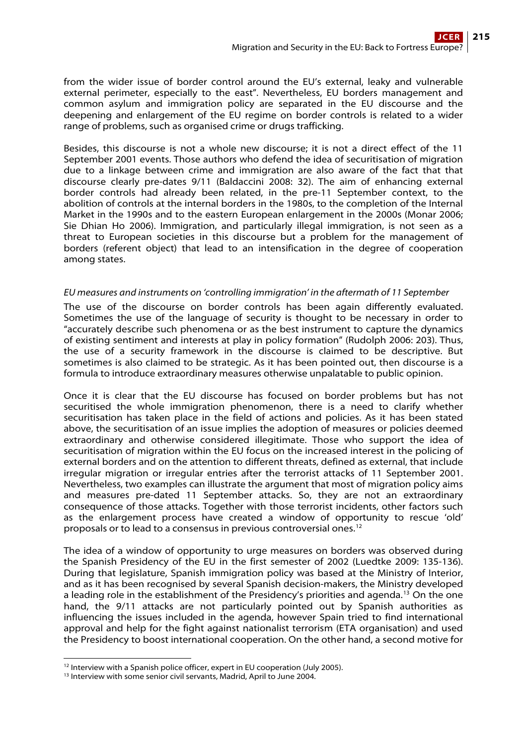from the wider issue of border control around the EU's external, leaky and vulnerable external perimeter, especially to the east". Nevertheless, EU borders management and common asylum and immigration policy are separated in the EU discourse and the deepening and enlargement of the EU regime on border controls is related to a wider range of problems, such as organised crime or drugs trafficking.

Besides, this discourse is not a whole new discourse; it is not a direct effect of the 11 September 2001 events. Those authors who defend the idea of securitisation of migration due to a linkage between crime and immigration are also aware of the fact that that discourse clearly pre-dates 9/11 (Baldaccini 2008: 32). The aim of enhancing external border controls had already been related, in the pre-11 September context, to the abolition of controls at the internal borders in the 1980s, to the completion of the Internal Market in the 1990s and to the eastern European enlargement in the 2000s (Monar 2006; Sie Dhian Ho 2006). Immigration, and particularly illegal immigration, is not seen as a threat to European societies in this discourse but a problem for the management of borders (referent object) that lead to an intensification in the degree of cooperation among states.

# EU measures and instruments on 'controlling immigration' in the aftermath of 11 September

The use of the discourse on border controls has been again differently evaluated. Sometimes the use of the language of security is thought to be necessary in order to "accurately describe such phenomena or as the best instrument to capture the dynamics of existing sentiment and interests at play in policy formation" (Rudolph 2006: 203). Thus, the use of a security framework in the discourse is claimed to be descriptive. But sometimes is also claimed to be strategic. As it has been pointed out, then discourse is a formula to introduce extraordinary measures otherwise unpalatable to public opinion.

Once it is clear that the EU discourse has focused on border problems but has not securitised the whole immigration phenomenon, there is a need to clarify whether securitisation has taken place in the field of actions and policies. As it has been stated above, the securitisation of an issue implies the adoption of measures or policies deemed extraordinary and otherwise considered illegitimate. Those who support the idea of securitisation of migration within the EU focus on the increased interest in the policing of external borders and on the attention to different threats, defined as external, that include irregular migration or irregular entries after the terrorist attacks of 11 September 2001. Nevertheless, two examples can illustrate the argument that most of migration policy aims and measures pre-dated 11 September attacks. So, they are not an extraordinary consequence of those attacks. Together with those terrorist incidents, other factors such as the enlargement process have created a window of opportunity to rescue 'old' proposals or to lead to a consensus in previous controversial ones.[12](#page-8-0)

The idea of a window of opportunity to urge measures on borders was observed during the Spanish Presidency of the EU in the first semester of 2002 (Luedtke 2009: 135-136). During that legislature, Spanish immigration policy was based at the Ministry of Interior, and as it has been recognised by several Spanish decision-makers, the Ministry developed a leading role in the establishment of the Presidency's priorities and agenda.<sup>[13](#page-8-1)</sup> On the one hand, the 9/11 attacks are not particularly pointed out by Spanish authorities as influencing the issues included in the agenda, however Spain tried to find international approval and help for the fight against nationalist terrorism (ETA organisation) and used the Presidency to boost international cooperation. On the other hand, a second motive for

<span id="page-8-0"></span> <sup>12</sup> Interview with a Spanish police officer, expert in EU cooperation (July 2005). <sup>13</sup> Interview with some senior civil servants, Madrid, April to June 2004.

<span id="page-8-1"></span>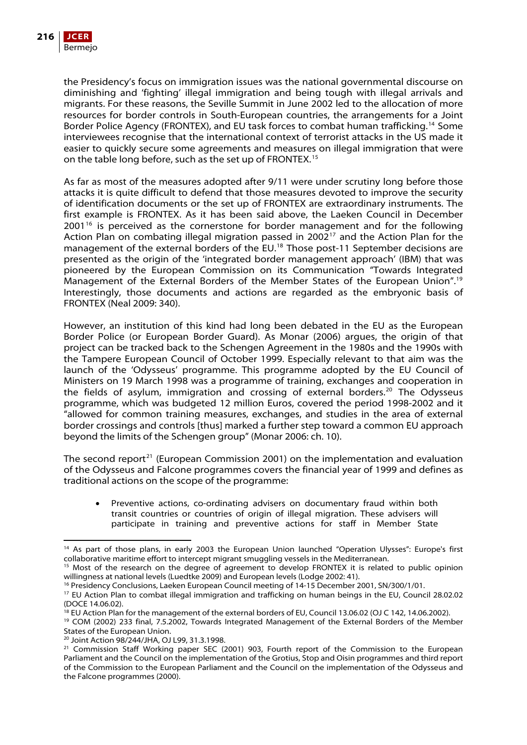the Presidency's focus on immigration issues was the national governmental discourse on diminishing and 'fighting' illegal immigration and being tough with illegal arrivals and migrants. For these reasons, the Seville Summit in June 2002 led to the allocation of more resources for border controls in South-European countries, the arrangements for a Joint Border Police Agency (FRONTEX), and EU task forces to combat human trafficking.[14](#page-9-0) Some interviewees recognise that the international context of terrorist attacks in the US made it easier to quickly secure some agreements and measures on illegal immigration that were on the table long before, such as the set up of FRONTEX.[15](#page-9-1)

As far as most of the measures adopted after 9/11 were under scrutiny long before those attacks it is quite difficult to defend that those measures devoted to improve the security of identification documents or the set up of FRONTEX are extraordinary instruments. The first example is FRONTEX. As it has been said above, the Laeken Council in December  $2001<sup>16</sup>$  $2001<sup>16</sup>$  $2001<sup>16</sup>$  is perceived as the cornerstone for border management and for the following Action Plan on combating illegal migration passed in 2002<sup>[17](#page-9-3)</sup> and the Action Plan for the management of the external borders of the EU.[18](#page-9-4) Those post-11 September decisions are presented as the origin of the 'integrated border management approach' (IBM) that was pioneered by the European Commission on its Communication "Towards Integrated Management of the External Borders of the Member States of the European Union".[19](#page-9-5) Interestingly, those documents and actions are regarded as the embryonic basis of FRONTEX (Neal 2009: 340).

However, an institution of this kind had long been debated in the EU as the European Border Police (or European Border Guard). As Monar (2006) argues, the origin of that project can be tracked back to the Schengen Agreement in the 1980s and the 1990s with the Tampere European Council of October 1999. Especially relevant to that aim was the launch of the 'Odysseus' programme. This programme adopted by the EU Council of Ministers on 19 March 1998 was a programme of training, exchanges and cooperation in the fields of asylum, immigration and crossing of external borders.<sup>[20](#page-9-6)</sup> The Odysseus programme, which was budgeted 12 million Euros, covered the period 1998-2002 and it "allowed for common training measures, exchanges, and studies in the area of external border crossings and controls [thus] marked a further step toward a common EU approach beyond the limits of the Schengen group" (Monar 2006: ch. 10).

The second report<sup>[21](#page-9-7)</sup> (European Commission 2001) on the implementation and evaluation of the Odysseus and Falcone programmes covers the financial year of 1999 and defines as traditional actions on the scope of the programme:

 Preventive actions, co-ordinating advisers on documentary fraud within both transit countries or countries of origin of illegal migration. These advisers will participate in training and preventive actions for staff in Member State

<span id="page-9-0"></span> <sup>14</sup> As part of those plans, in early 2003 the European Union launched "Operation Ulysses": Europe's first collaborative maritime effort to intercept migrant smuggling vessels in the Mediterranean.

<span id="page-9-1"></span><sup>&</sup>lt;sup>15</sup> Most of the research on the degree of agreement to develop FRONTEX it is related to public opinion willingness at national levels (Luedtke 2009) and European levels (Lodge 2002: 41).<br><sup>16</sup> Presidency Conclusions, Laeken European Council meeting of 14-15 December 2001, SN/300/1/01.

<span id="page-9-3"></span><span id="page-9-2"></span><sup>&</sup>lt;sup>17</sup> EU Action Plan to combat illegal immigration and trafficking on human beings in the EU, Council 28.02.02 (DOCE 14.06.02).<br><sup>18</sup> EU Action Plan for the management of the external borders of EU, Council 13.06.02 (OJ C 142, 14.06.2002).

<span id="page-9-4"></span>

<span id="page-9-5"></span><sup>&</sup>lt;sup>19</sup> COM (2002) 233 final, 7.5.2002, Towards Integrated Management of the External Borders of the Member States of the European Union.

<span id="page-9-6"></span><sup>20</sup> Joint Action 98/244/JHA, OJ L99, 31.3.1998.

<span id="page-9-7"></span><sup>&</sup>lt;sup>21</sup> Commission Staff Working paper SEC (2001) 903, Fourth report of the Commission to the European Parliament and the Council on the implementation of the Grotius, Stop and Oisin programmes and third report of the Commission to the European Parliament and the Council on the implementation of the Odysseus and the Falcone programmes (2000).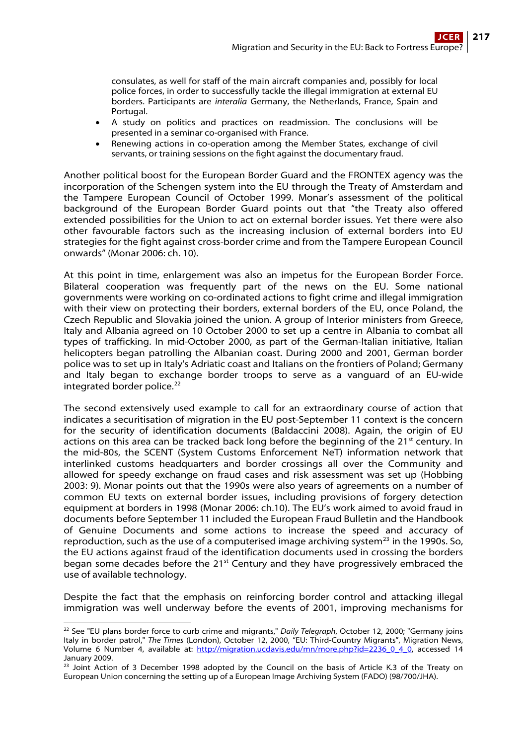consulates, as well for staff of the main aircraft companies and, possibly for local police forces, in order to successfully tackle the illegal immigration at external EU borders. Participants are interalia Germany, the Netherlands, France, Spain and Portugal.

- A study on politics and practices on readmission. The conclusions will be presented in a seminar co-organised with France.
- Renewing actions in co-operation among the Member States, exchange of civil servants, or training sessions on the fight against the documentary fraud.

Another political boost for the European Border Guard and the FRONTEX agency was the incorporation of the Schengen system into the EU through the Treaty of Amsterdam and the Tampere European Council of October 1999. Monar's assessment of the political background of the European Border Guard points out that "the Treaty also offered extended possibilities for the Union to act on external border issues. Yet there were also other favourable factors such as the increasing inclusion of external borders into EU strategies for the fight against cross-border crime and from the Tampere European Council onwards" (Monar 2006: ch. 10).

At this point in time, enlargement was also an impetus for the European Border Force. Bilateral cooperation was frequently part of the news on the EU. Some national governments were working on co-ordinated actions to fight crime and illegal immigration with their view on protecting their borders, external borders of the EU, once Poland, the Czech Republic and Slovakia joined the union. A group of Interior ministers from Greece, Italy and Albania agreed on 10 October 2000 to set up a centre in Albania to combat all types of trafficking. In mid-October 2000, as part of the German-Italian initiative, Italian helicopters began patrolling the Albanian coast. During 2000 and 2001, German border police was to set up in Italy's Adriatic coast and Italians on the frontiers of Poland; Germany and Italy began to exchange border troops to serve as a vanguard of an EU-wide integrated border police.<sup>[22](#page-10-0)</sup>

The second extensively used example to call for an extraordinary course of action that indicates a securitisation of migration in the EU post-September 11 context is the concern for the security of identification documents (Baldaccini 2008). Again, the origin of EU actions on this area can be tracked back long before the beginning of the  $21^{st}$  century. In the mid-80s, the SCENT (System Customs Enforcement NeT) information network that interlinked customs headquarters and border crossings all over the Community and allowed for speedy exchange on fraud cases and risk assessment was set up (Hobbing 2003: 9). Monar points out that the 1990s were also years of agreements on a number of common EU texts on external border issues, including provisions of forgery detection equipment at borders in 1998 (Monar 2006: ch.10). The EU's work aimed to avoid fraud in documents before September 11 included the European Fraud Bulletin and the Handbook of Genuine Documents and some actions to increase the speed and accuracy of reproduction, such as the use of a computerised image archiving system<sup>[23](#page-10-1)</sup> in the 1990s. So, the EU actions against fraud of the identification documents used in crossing the borders began some decades before the  $21^{st}$  Century and they have progressively embraced the use of available technology.

Despite the fact that the emphasis on reinforcing border control and attacking illegal immigration was well underway before the events of 2001, improving mechanisms for

<span id="page-10-0"></span> <sup>22</sup> See "EU plans border force to curb crime and migrants," Daily Telegraph, October 12, 2000; "Germany joins Italy in border patrol," The Times (London), October 12, 2000, "EU: Third-Country Migrants", Migration News, Volume 6 Number 4, available at: [http://migration.ucdavis.edu/mn/more.php?id=2236\\_0\\_4\\_0](http://migration.ucdavis.edu/mn/more.php?id=2236_0_4_0), accessed 14 January 2009.

<span id="page-10-1"></span><sup>&</sup>lt;sup>23</sup> Joint Action of 3 December 1998 adopted by the Council on the basis of Article K.3 of the Treaty on European Union concerning the setting up of a European Image Archiving System (FADO) (98/700/JHA).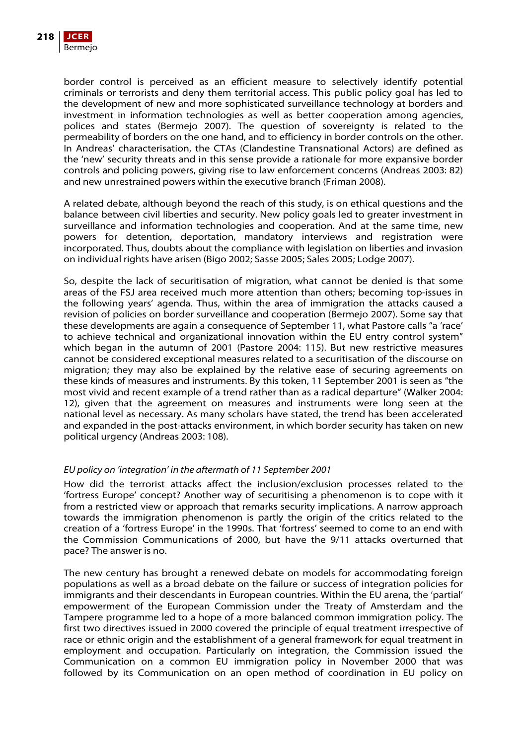

border control is perceived as an efficient measure to selectively identify potential criminals or terrorists and deny them territorial access. This public policy goal has led to the development of new and more sophisticated surveillance technology at borders and investment in information technologies as well as better cooperation among agencies, polices and states (Bermejo 2007). The question of sovereignty is related to the permeability of borders on the one hand, and to efficiency in border controls on the other. In Andreas' characterisation, the CTAs (Clandestine Transnational Actors) are defined as the 'new' security threats and in this sense provide a rationale for more expansive border controls and policing powers, giving rise to law enforcement concerns (Andreas 2003: 82) and new unrestrained powers within the executive branch (Friman 2008).

A related debate, although beyond the reach of this study, is on ethical questions and the balance between civil liberties and security. New policy goals led to greater investment in surveillance and information technologies and cooperation. And at the same time, new powers for detention, deportation, mandatory interviews and registration were incorporated. Thus, doubts about the compliance with legislation on liberties and invasion on individual rights have arisen (Bigo 2002; Sasse 2005; Sales 2005; Lodge 2007).

So, despite the lack of securitisation of migration, what cannot be denied is that some areas of the FSJ area received much more attention than others; becoming top-issues in the following years' agenda. Thus, within the area of immigration the attacks caused a revision of policies on border surveillance and cooperation (Bermejo 2007). Some say that these developments are again a consequence of September 11, what Pastore calls "a 'race' to achieve technical and organizational innovation within the EU entry control system" which began in the autumn of 2001 (Pastore 2004: 115). But new restrictive measures cannot be considered exceptional measures related to a securitisation of the discourse on migration; they may also be explained by the relative ease of securing agreements on these kinds of measures and instruments. By this token, 11 September 2001 is seen as "the most vivid and recent example of a trend rather than as a radical departure" (Walker 2004: 12), given that the agreement on measures and instruments were long seen at the national level as necessary. As many scholars have stated, the trend has been accelerated and expanded in the post-attacks environment, in which border security has taken on new political urgency (Andreas 2003: 108).

### EU policy on 'integration' in the aftermath of 11 September 2001

How did the terrorist attacks affect the inclusion/exclusion processes related to the 'fortress Europe' concept? Another way of securitising a phenomenon is to cope with it from a restricted view or approach that remarks security implications. A narrow approach towards the immigration phenomenon is partly the origin of the critics related to the creation of a 'fortress Europe' in the 1990s. That 'fortress' seemed to come to an end with the Commission Communications of 2000, but have the 9/11 attacks overturned that pace? The answer is no.

The new century has brought a renewed debate on models for accommodating foreign populations as well as a broad debate on the failure or success of integration policies for immigrants and their descendants in European countries. Within the EU arena, the 'partial' empowerment of the European Commission under the Treaty of Amsterdam and the Tampere programme led to a hope of a more balanced common immigration policy. The first two directives issued in 2000 covered the principle of equal treatment irrespective of race or ethnic origin and the establishment of a general framework for equal treatment in employment and occupation. Particularly on integration, the Commission issued the Communication on a common EU immigration policy in November 2000 that was followed by its Communication on an open method of coordination in EU policy on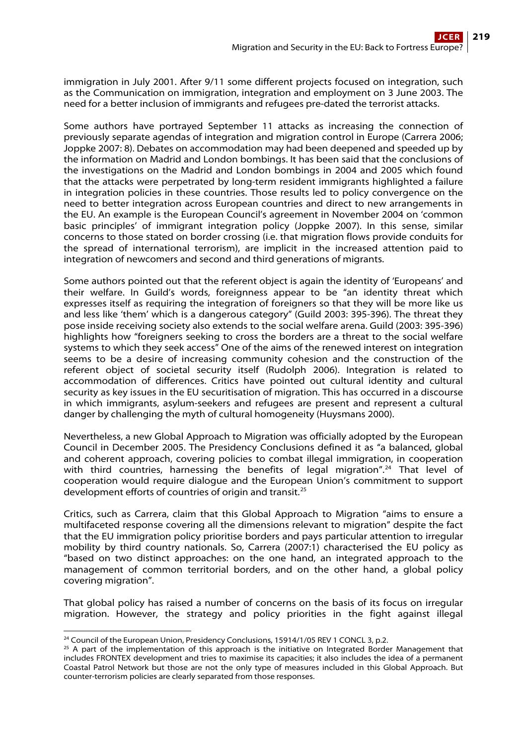immigration in July 2001. After 9/11 some different projects focused on integration, such as the Communication on immigration, integration and employment on 3 June 2003. The need for a better inclusion of immigrants and refugees pre-dated the terrorist attacks.

Some authors have portrayed September 11 attacks as increasing the connection of previously separate agendas of integration and migration control in Europe (Carrera 2006; Joppke 2007: 8). Debates on accommodation may had been deepened and speeded up by the information on Madrid and London bombings. It has been said that the conclusions of the investigations on the Madrid and London bombings in 2004 and 2005 which found that the attacks were perpetrated by long-term resident immigrants highlighted a failure in integration policies in these countries. Those results led to policy convergence on the need to better integration across European countries and direct to new arrangements in the EU. An example is the European Council's agreement in November 2004 on 'common basic principles' of immigrant integration policy (Joppke 2007). In this sense, similar concerns to those stated on border crossing (i.e. that migration flows provide conduits for the spread of international terrorism), are implicit in the increased attention paid to integration of newcomers and second and third generations of migrants.

Some authors pointed out that the referent object is again the identity of 'Europeans' and their welfare. In Guild's words, foreignness appear to be "an identity threat which expresses itself as requiring the integration of foreigners so that they will be more like us and less like 'them' which is a dangerous category" (Guild 2003: 395-396). The threat they pose inside receiving society also extends to the social welfare arena. Guild (2003: 395-396) highlights how "foreigners seeking to cross the borders are a threat to the social welfare systems to which they seek access" One of the aims of the renewed interest on integration seems to be a desire of increasing community cohesion and the construction of the referent object of societal security itself (Rudolph 2006). Integration is related to accommodation of differences. Critics have pointed out cultural identity and cultural security as key issues in the EU securitisation of migration. This has occurred in a discourse in which immigrants, asylum-seekers and refugees are present and represent a cultural danger by challenging the myth of cultural homogeneity (Huysmans 2000).

Nevertheless, a new Global Approach to Migration was officially adopted by the European Council in December 2005. The Presidency Conclusions defined it as "a balanced, global and coherent approach, covering policies to combat illegal immigration, in cooperation with third countries, harnessing the benefits of legal migration".<sup>[24](#page-12-0)</sup> That level of cooperation would require dialogue and the European Union's commitment to support development efforts of countries of origin and transit.25

Critics, such as Carrera, claim that this Global Approach to Migration "aims to ensure a multifaceted response covering all the dimensions relevant to migration" despite the fact that the EU immigration policy prioritise borders and pays particular attention to irregular mobility by third country nationals. So, Carrera (2007:1) characterised the EU policy as "based on two distinct approaches: on the one hand, an integrated approach to the management of common territorial borders, and on the other hand, a global policy covering migration".

That global policy has raised a number of concerns on the basis of its focus on irregular migration. However, the strategy and policy priorities in the fight against illegal

<span id="page-12-0"></span><sup>&</sup>lt;sup>24</sup> Council of the European Union, Presidency Conclusions, 15914/1/05 REV 1 CONCL 3, p.2.

<sup>&</sup>lt;sup>25</sup> A part of the implementation of this approach is the initiative on Integrated Border Management that includes FRONTEX development and tries to maximise its capacities; it also includes the idea of a permanent Coastal Patrol Network but those are not the only type of measures included in this Global Approach. But counter-terrorism policies are clearly separated from those responses.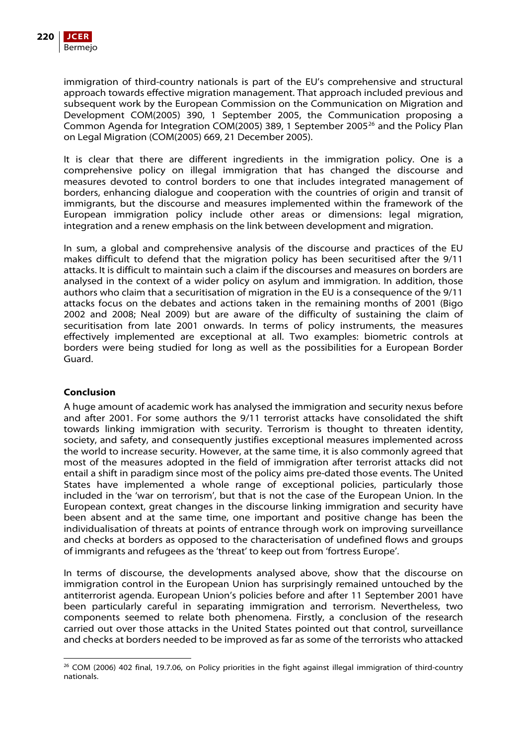

immigration of third-country nationals is part of the EU's comprehensive and structural approach towards effective migration management. That approach included previous and subsequent work by the European Commission on the Communication on Migration and Development COM(2005) 390, 1 September 2005, the Communication proposing a Common Agenda for Integration COM(2005) 389, 1 September 2005<sup>[26](#page-13-0)</sup> and the Policy Plan on Legal Migration (COM(2005) 669, 21 December 2005).

It is clear that there are different ingredients in the immigration policy. One is a comprehensive policy on illegal immigration that has changed the discourse and measures devoted to control borders to one that includes integrated management of borders, enhancing dialogue and cooperation with the countries of origin and transit of immigrants, but the discourse and measures implemented within the framework of the European immigration policy include other areas or dimensions: legal migration, integration and a renew emphasis on the link between development and migration.

In sum, a global and comprehensive analysis of the discourse and practices of the EU makes difficult to defend that the migration policy has been securitised after the 9/11 attacks. It is difficult to maintain such a claim if the discourses and measures on borders are analysed in the context of a wider policy on asylum and immigration. In addition, those authors who claim that a securitisation of migration in the EU is a consequence of the 9/11 attacks focus on the debates and actions taken in the remaining months of 2001 (Bigo 2002 and 2008; Neal 2009) but are aware of the difficulty of sustaining the claim of securitisation from late 2001 onwards. In terms of policy instruments, the measures effectively implemented are exceptional at all. Two examples: biometric controls at borders were being studied for long as well as the possibilities for a European Border Guard.

### **Conclusion**

A huge amount of academic work has analysed the immigration and security nexus before and after 2001. For some authors the 9/11 terrorist attacks have consolidated the shift towards linking immigration with security. Terrorism is thought to threaten identity, society, and safety, and consequently justifies exceptional measures implemented across the world to increase security. However, at the same time, it is also commonly agreed that most of the measures adopted in the field of immigration after terrorist attacks did not entail a shift in paradigm since most of the policy aims pre-dated those events. The United States have implemented a whole range of exceptional policies, particularly those included in the 'war on terrorism', but that is not the case of the European Union. In the European context, great changes in the discourse linking immigration and security have been absent and at the same time, one important and positive change has been the individualisation of threats at points of entrance through work on improving surveillance and checks at borders as opposed to the characterisation of undefined flows and groups of immigrants and refugees as the 'threat' to keep out from 'fortress Europe'.

In terms of discourse, the developments analysed above, show that the discourse on immigration control in the European Union has surprisingly remained untouched by the antiterrorist agenda. European Union's policies before and after 11 September 2001 have been particularly careful in separating immigration and terrorism. Nevertheless, two components seemed to relate both phenomena. Firstly, a conclusion of the research carried out over those attacks in the United States pointed out that control, surveillance and checks at borders needed to be improved as far as some of the terrorists who attacked

<span id="page-13-0"></span> <sup>26</sup> COM (2006) 402 final, 19.7.06, on Policy priorities in the fight against illegal immigration of third-country nationals.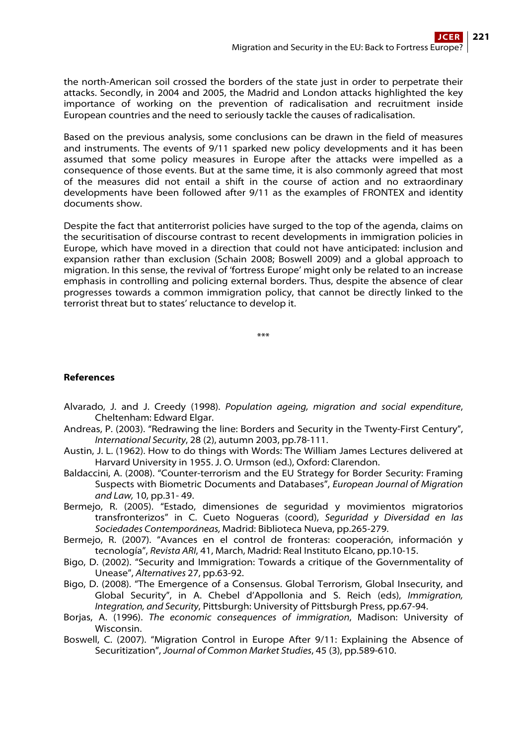the north-American soil crossed the borders of the state just in order to perpetrate their attacks. Secondly, in 2004 and 2005, the Madrid and London attacks highlighted the key importance of working on the prevention of radicalisation and recruitment inside European countries and the need to seriously tackle the causes of radicalisation.

Based on the previous analysis, some conclusions can be drawn in the field of measures and instruments. The events of 9/11 sparked new policy developments and it has been assumed that some policy measures in Europe after the attacks were impelled as a consequence of those events. But at the same time, it is also commonly agreed that most of the measures did not entail a shift in the course of action and no extraordinary developments have been followed after 9/11 as the examples of FRONTEX and identity documents show.

Despite the fact that antiterrorist policies have surged to the top of the agenda, claims on the securitisation of discourse contrast to recent developments in immigration policies in Europe, which have moved in a direction that could not have anticipated: inclusion and expansion rather than exclusion (Schain 2008; Boswell 2009) and a global approach to migration. In this sense, the revival of 'fortress Europe' might only be related to an increase emphasis in controlling and policing external borders. Thus, despite the absence of clear progresses towards a common immigration policy, that cannot be directly linked to the terrorist threat but to states' reluctance to develop it.

\*\*\*

# **References**

- Alvarado, J. and J. Creedy (1998). Population ageing, migration and social expenditure, Cheltenham: Edward Elgar.
- Andreas, P. (2003). "Redrawing the line: Borders and Security in the Twenty-First Century", International Security, 28 (2), autumn 2003, pp.78-111.
- Austin, J. L. (1962). How to do things with Words: The William James Lectures delivered at Harvard University in 1955. J. O. Urmson (ed.), Oxford: Clarendon.
- Baldaccini, A. (2008). "Counter-terrorism and the EU Strategy for Border Security: Framing Suspects with Biometric Documents and Databases", European Journal of Migration and Law, 10, pp.31- 49.
- Bermejo, R. (2005). "Estado, dimensiones de seguridad y movimientos migratorios transfronterizos" in C. Cueto Nogueras (coord), Seguridad y Diversidad en las Sociedades Contemporáneas, Madrid: Biblioteca Nueva, pp.265-279.
- Bermejo, R. (2007). "Avances en el control de fronteras: cooperación, información y tecnología", Revista ARI, 41, March, Madrid: Real Instituto Elcano, pp.10-15.
- Bigo, D. (2002). "Security and Immigration: Towards a critique of the Governmentality of Unease", Alternatives 27, pp.63-92.
- Bigo, D. (2008). "The Emergence of a Consensus. Global Terrorism, Global Insecurity, and Global Security", in A. Chebel d'Appollonia and S. Reich (eds), Immigration, Integration, and Security, Pittsburgh: University of Pittsburgh Press, pp.67-94.
- Borjas, A. (1996). The economic consequences of immigration, Madison: University of Wisconsin.
- Boswell, C. (2007). "Migration Control in Europe After 9/11: Explaining the Absence of Securitization", Journal of Common Market Studies, 45 (3), pp.589-610.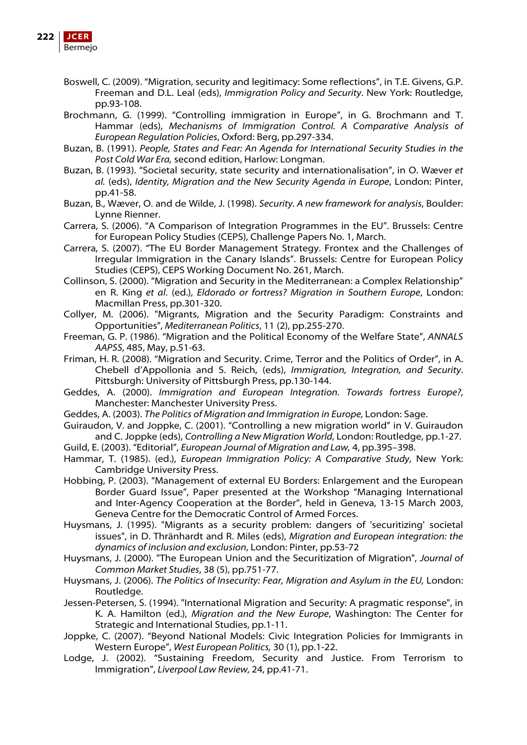

- Boswell, C. (2009). "Migration, security and legitimacy: Some reflections", in T.E. Givens, G.P. Freeman and D.L. Leal (eds), Immigration Policy and Security. New York: Routledge, pp.93-108.
- Brochmann, G. (1999). "Controlling immigration in Europe", in G. Brochmann and T. Hammar (eds), Mechanisms of Immigration Control. A Comparative Analysis of European Regulation Policies, Oxford: Berg, pp.297-334.
- Buzan, B. (1991). People, States and Fear: An Agenda for International Security Studies in the Post Cold War Era, second edition, Harlow: Longman.
- Buzan, B. (1993). "Societal security, state security and internationalisation", in O. Wæver et al. (eds), Identity, Migration and the New Security Agenda in Europe, London: Pinter, pp.41-58.
- Buzan, B., Wæver, O. and de Wilde, J. (1998). Security. A new framework for analysis, Boulder: Lynne Rienner.
- Carrera, S. (2006). "A Comparison of Integration Programmes in the EU". Brussels: Centre for European Policy Studies (CEPS), Challenge Papers No. 1, March.
- Carrera, S. (2007). "The EU Border Management Strategy. Frontex and the Challenges of Irregular Immigration in the Canary Islands". Brussels: Centre for European Policy Studies (CEPS), CEPS Working Document No. 261, March.
- Collinson, S. (2000). "Migration and Security in the Mediterranean: a Complex Relationship" en R. King et al. (ed.), Eldorado or fortress? Migration in Southern Europe, London: Macmillan Press, pp.301-320.
- Collyer, M. (2006). "Migrants, Migration and the Security Paradigm: Constraints and Opportunities", Mediterranean Politics, 11 (2), pp.255-270.
- Freeman, G. P. (1986). "Migration and the Political Economy of the Welfare State", ANNALS AAPSS, 485, May, p.51-63.
- Friman, H. R. (2008). "Migration and Security. Crime, Terror and the Politics of Order", in A. Chebell d'Appollonia and S. Reich, (eds), Immigration, Integration, and Security. Pittsburgh: University of Pittsburgh Press, pp.130-144.
- Geddes, A. (2000). Immigration and European Integration. Towards fortress Europe?, Manchester: Manchester University Press.
- Geddes, A. (2003). The Politics of Migration and Immigration in Europe, London: Sage.
- Guiraudon, V. and Joppke, C. (2001). "Controlling a new migration world" in V. Guiraudon and C. Joppke (eds), Controlling a New Migration World, London: Routledge, pp.1-27.

Guild, E. (2003). "Editorial", European Journal of Migration and Law, 4, pp.395–398.

- Hammar, T. (1985). (ed.), European Immigration Policy: A Comparative Study, New York: Cambridge University Press.
- Hobbing, P. (2003). "Management of external EU Borders: Enlargement and the European Border Guard Issue", Paper presented at the Workshop "Managing International and Inter-Agency Cooperation at the Border", held in Geneva, 13-15 March 2003, Geneva Centre for the Democratic Control of Armed Forces.
- Huysmans, J. (1995). "Migrants as a security problem: dangers of 'securitizing' societal issues", in D. Thränhardt and R. Miles (eds), Migration and European integration: the dynamics of inclusion and exclusion, London: Pinter, pp.53-72
- Huysmans, J. (2000). "The European Union and the Securitization of Migration", Journal of Common Market Studies, 38 (5), pp.751-77.
- Huysmans, J. (2006). The Politics of Insecurity: Fear, Migration and Asylum in the EU, London: Routledge.
- Jessen-Petersen, S. (1994). "International Migration and Security: A pragmatic response", in K. A. Hamilton (ed.), Migration and the New Europe, Washington: The Center for Strategic and International Studies, pp.1-11.
- Joppke, C. (2007). "Beyond National Models: Civic Integration Policies for Immigrants in Western Europe", West European Politics, 30 (1), pp.1-22.
- Lodge, J. (2002). "Sustaining Freedom, Security and Justice. From Terrorism to Immigration", Liverpool Law Review, 24, pp.41-71.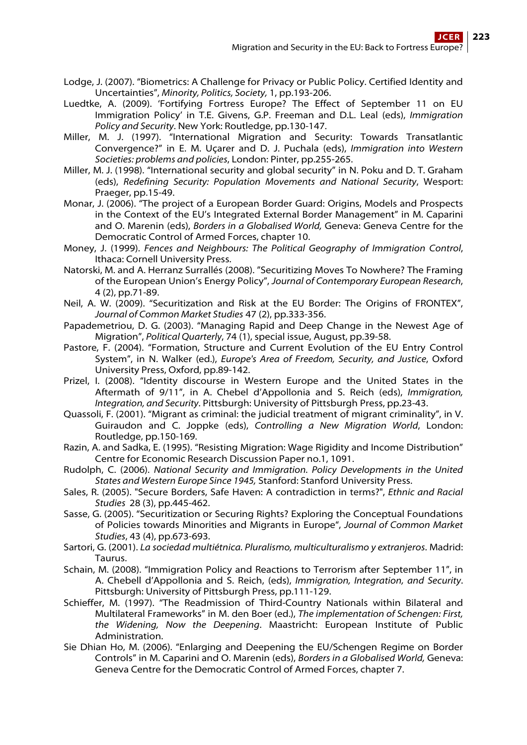- Lodge, J. (2007). "Biometrics: A Challenge for Privacy or Public Policy. Certified Identity and Uncertainties", Minority, Politics, Society, 1, pp.193-206.
- Luedtke, A. (2009). 'Fortifying Fortress Europe? The Effect of September 11 on EU Immigration Policy' in T.E. Givens, G.P. Freeman and D.L. Leal (eds), Immigration Policy and Security. New York: Routledge, pp.130-147.
- Miller, M. J. (1997). "International Migration and Security: Towards Transatlantic Convergence?" in E. M. Uçarer and D. J. Puchala (eds), Immigration into Western Societies: problems and policies, London: Pinter, pp.255-265.
- Miller, M. J. (1998). "International security and global security" in N. Poku and D. T. Graham (eds), Redefining Security: Population Movements and National Security, Wesport: Praeger, pp.15-49.
- Monar, J. (2006). "The project of a European Border Guard: Origins, Models and Prospects in the Context of the EU's Integrated External Border Management" in M. Caparini and O. Marenin (eds), Borders in a Globalised World, Geneva: Geneva Centre for the Democratic Control of Armed Forces, chapter 10.
- Money, J. (1999). Fences and Neighbours: The Political Geography of Immigration Control, Ithaca: Cornell University Press.
- Natorski, M. and A. Herranz Surrallés (2008). "Securitizing Moves To Nowhere? The Framing of the European Union's Energy Policy", Journal of Contemporary European Research, 4 (2), pp.71-89.
- Neil, A. W. (2009). "Securitization and Risk at the EU Border: The Origins of FRONTEX", Journal of Common Market Studies 47 (2), pp.333-356.
- Papademetriou, D. G. (2003). "Managing Rapid and Deep Change in the Newest Age of Migration", Political Quarterly, 74 (1), special issue, August, pp.39-58.
- Pastore, F. (2004). "Formation, Structure and Current Evolution of the EU Entry Control System", in N. Walker (ed.), Europe's Area of Freedom, Security, and Justice, Oxford University Press, Oxford, pp.89-142.
- Prizel, I. (2008). "Identity discourse in Western Europe and the United States in the Aftermath of 9/11", in A. Chebel d'Appollonia and S. Reich (eds), Immigration, Integration, and Security. Pittsburgh: University of Pittsburgh Press, pp.23-43.
- Quassoli, F. (2001). "Migrant as criminal: the judicial treatment of migrant criminality", in V. Guiraudon and C. Joppke (eds), Controlling a New Migration World, London: Routledge, pp.150-169.
- Razin, A. and Sadka, E. (1995). "Resisting Migration: Wage Rigidity and Income Distribution" Centre for Economic Research Discussion Paper no.1, 1091.
- Rudolph, C. (2006). National Security and Immigration. Policy Developments in the United States and Western Europe Since 1945, Stanford: Stanford University Press.
- Sales, R. (2005). "Secure Borders, Safe Haven: A contradiction in terms?", Ethnic and Racial Studies 28 (3), pp.445-462.
- Sasse, G. (2005). "Securitization or Securing Rights? Exploring the Conceptual Foundations of Policies towards Minorities and Migrants in Europe", Journal of Common Market Studies, 43 (4), pp.673-693.
- Sartori, G. (2001). La sociedad multiétnica. Pluralismo, multiculturalismo y extranjeros. Madrid: Taurus.
- Schain, M. (2008). "Immigration Policy and Reactions to Terrorism after September 11", in A. Chebell d'Appollonia and S. Reich, (eds), Immigration, Integration, and Security. Pittsburgh: University of Pittsburgh Press, pp.111-129.
- Schieffer, M. (1997). "The Readmission of Third-Country Nationals within Bilateral and Multilateral Frameworks" in M. den Boer (ed.), The implementation of Schengen: First, the Widening, Now the Deepening. Maastricht: European Institute of Public Administration.
- Sie Dhian Ho, M. (2006). "Enlarging and Deepening the EU/Schengen Regime on Border Controls" in M. Caparini and O. Marenin (eds), Borders in a Globalised World, Geneva: Geneva Centre for the Democratic Control of Armed Forces, chapter 7.